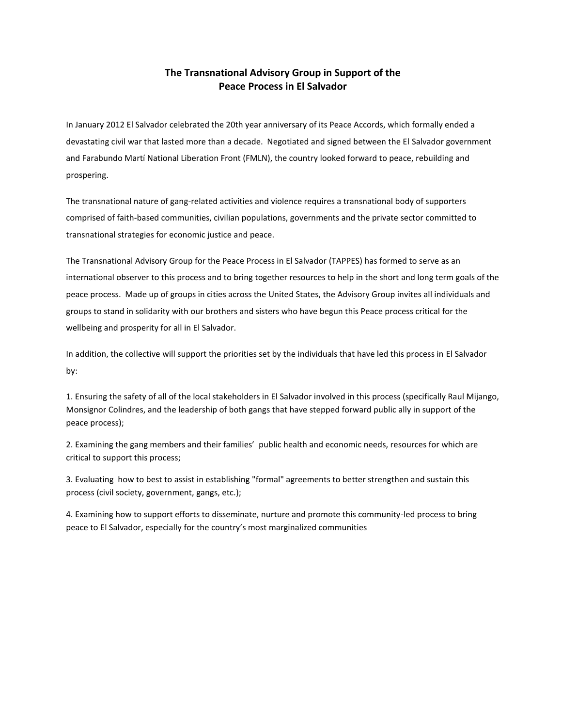## **The Transnational Advisory Group in Support of the Peace Process in El Salvador**

In January 2012 El Salvador celebrated the 20th year anniversary of its Peace Accords, which formally ended a devastating civil war that lasted more than a decade. Negotiated and signed between the El Salvador government and Farabundo Martí National Liberation Front (FMLN), the country looked forward to peace, rebuilding and prospering.

The transnational nature of gang-related activities and violence requires a transnational body of supporters comprised of faith-based communities, civilian populations, governments and the private sector committed to transnational strategies for economic justice and peace.

The Transnational Advisory Group for the Peace Process in El Salvador (TAPPES) has formed to serve as an international observer to this process and to bring together resources to help in the short and long term goals of the peace process. Made up of groups in cities across the United States, the Advisory Group invites all individuals and groups to stand in solidarity with our brothers and sisters who have begun this Peace process critical for the wellbeing and prosperity for all in El Salvador.

In addition, the collective will support the priorities set by the individuals that have led this process in El Salvador by:

1. Ensuring the safety of all of the local stakeholders in El Salvador involved in this process (specifically Raul Mijango, Monsignor Colindres, and the leadership of both gangs that have stepped forward public ally in support of the peace process);

2. Examining the gang members and their families' public health and economic needs, resources for which are critical to support this process;

3. Evaluating how to best to assist in establishing "formal" agreements to better strengthen and sustain this process (civil society, government, gangs, etc.);

4. Examining how to support efforts to disseminate, nurture and promote this community-led process to bring peace to El Salvador, especially for the country's most marginalized communities